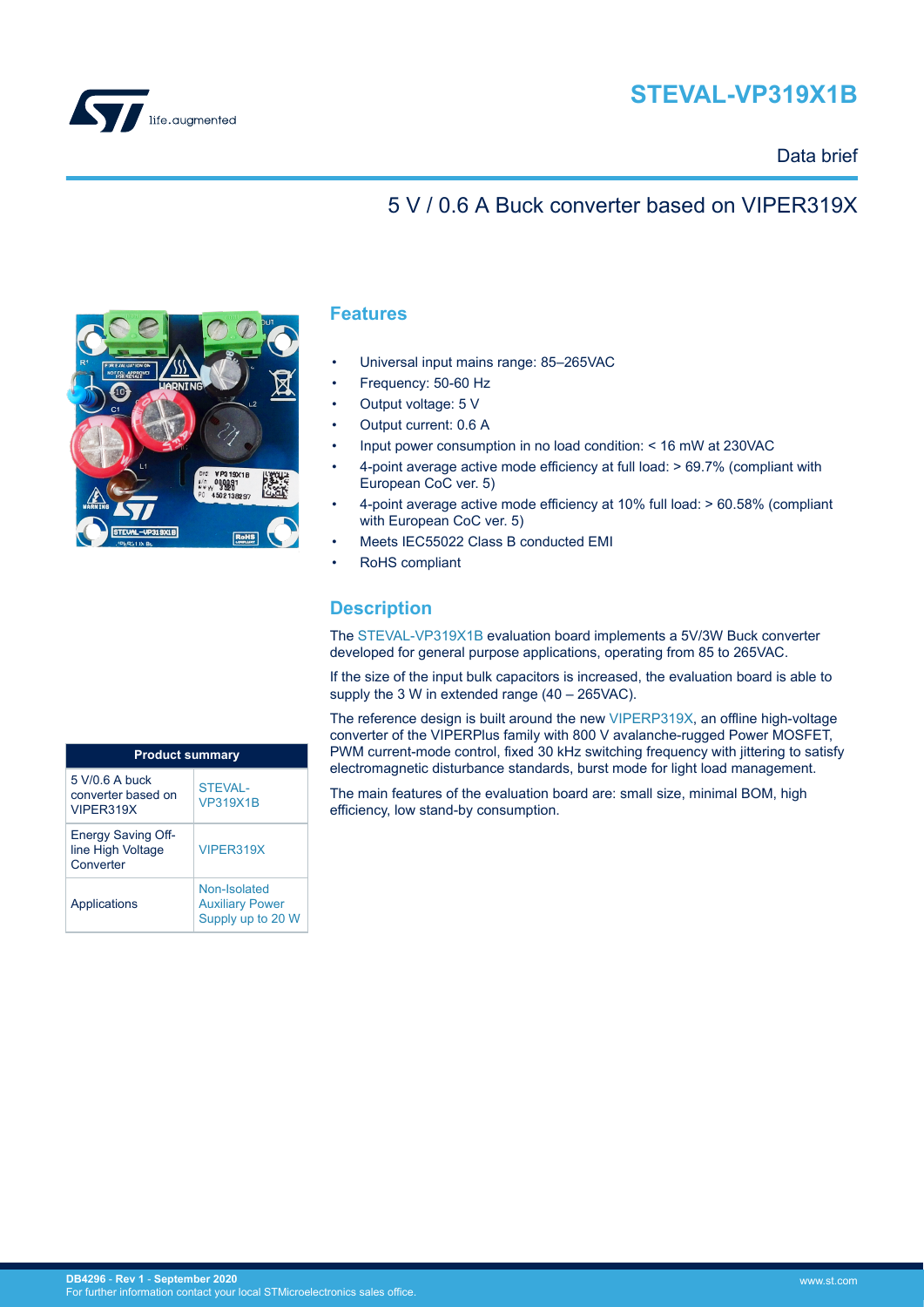## **STEVAL-VP319X1B**



## Data brief

## 5 V / 0.6 A Buck converter based on VIPER319X



### **Features**

- Universal input mains range: 85–265VAC
- Frequency: 50-60 Hz
- Output voltage: 5 V
- Output current: 0.6 A
- Input power consumption in no load condition: < 16 mW at 230VAC
- 4-point average active mode efficiency at full load: > 69.7% (compliant with European CoC ver. 5)
- 4-point average active mode efficiency at 10% full load: > 60.58% (compliant with European CoC ver. 5)
- Meets IEC55022 Class B conducted EMI
- RoHS compliant

## **Description**

The [STEVAL-VP319X1B](https://www.st.com/en/product/steval-vp319x1b?ecmp=tt9470_gl_link_feb2019&rt=db&id=DB4296) evaluation board implements a 5V/3W Buck converter developed for general purpose applications, operating from 85 to 265VAC.

If the size of the input bulk capacitors is increased, the evaluation board is able to supply the 3 W in extended range (40 – 265VAC).

The reference design is built around the new [VIPERP319X,](https://www.st.com/en/product/VIPER31?ecmp=tt9470_gl_link_feb2019&rt=db&id=DB4296) an offline high-voltage converter of the VIPERPlus family with 800 V avalanche-rugged Power MOSFET, PWM current-mode control, fixed 30 kHz switching frequency with jittering to satisfy electromagnetic disturbance standards, burst mode for light load management.

The main features of the evaluation board are: small size, minimal BOM, high efficiency, low stand-by consumption.

| <b>Product summary</b>                                      |                                                             |  |
|-------------------------------------------------------------|-------------------------------------------------------------|--|
| $5 V/0 6 A$ buck<br>converter based on<br>VIPFR319X         | <b>STEVAL-</b><br><b>VP319X1B</b>                           |  |
| <b>Energy Saving Off-</b><br>line High Voltage<br>Converter | VIPFR319X                                                   |  |
| Applications                                                | Non-Isolated<br><b>Auxiliary Power</b><br>Supply up to 20 W |  |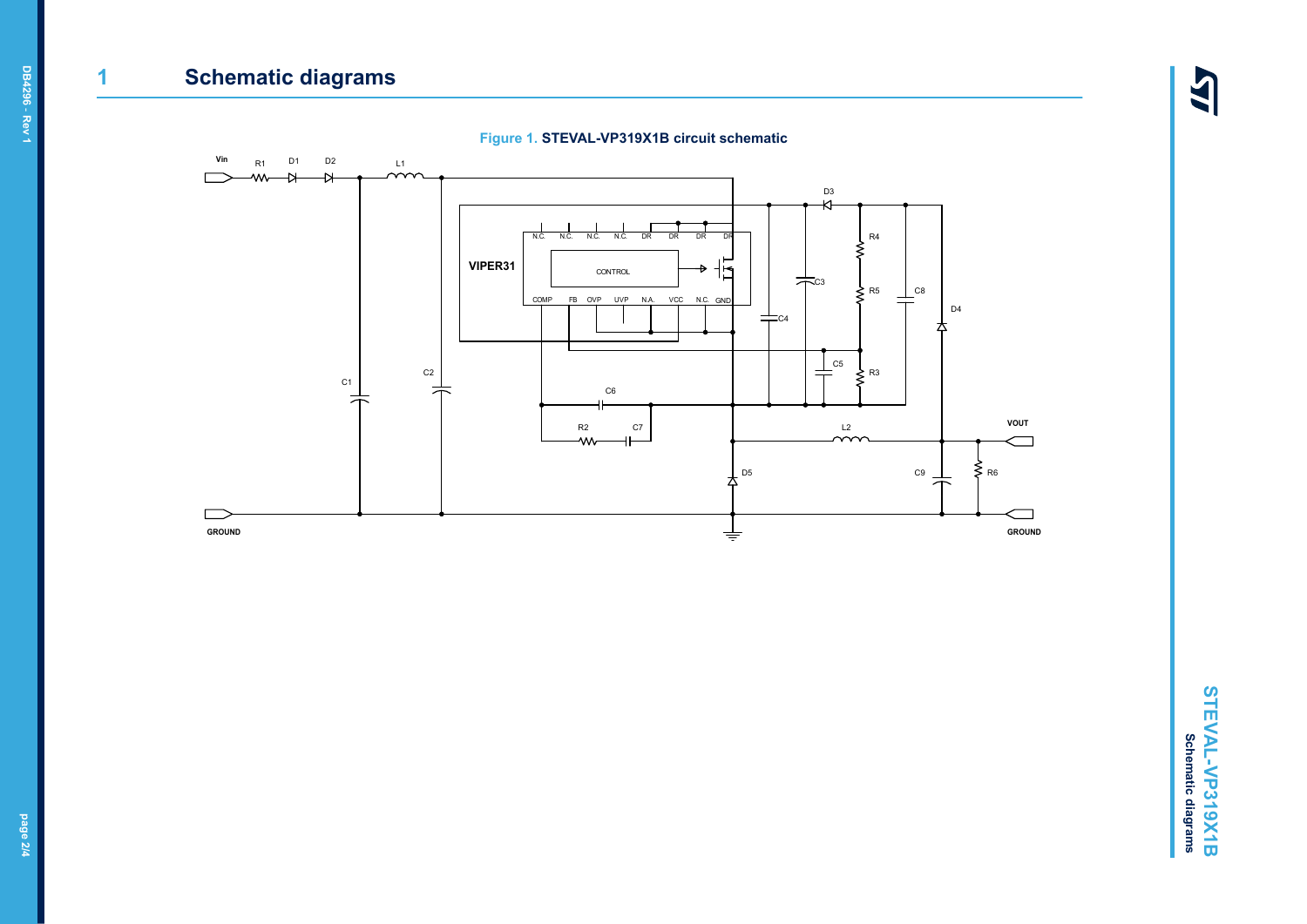# **1 Schematic diagrams**

147



# **DB4296** - **Rev 1**

**page 2/4**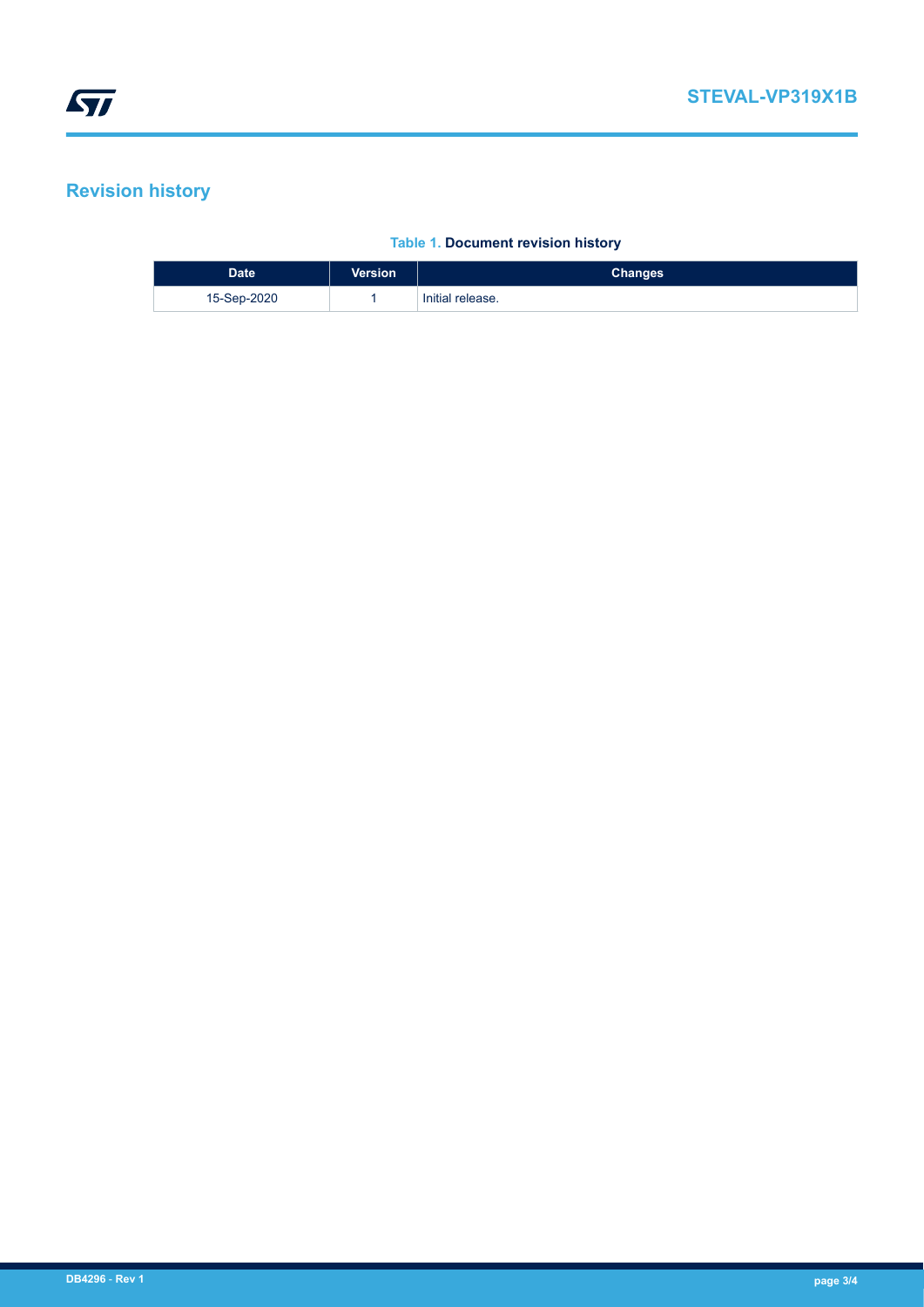## **Revision history**

#### **Table 1. Document revision history**

| <b>Date</b> | <b>Version</b> | <b>Changes</b>   |
|-------------|----------------|------------------|
| 15-Sep-2020 |                | Initial release. |